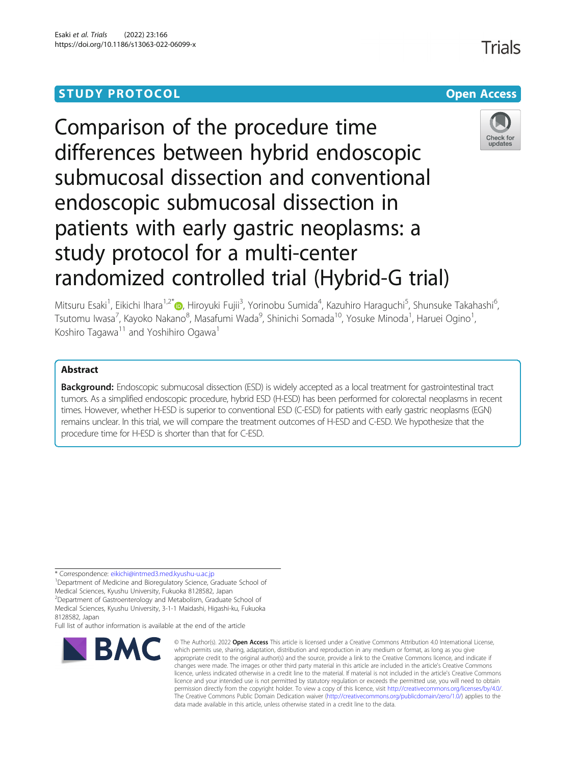# **STUDY PROTOCOL CONSUMING THE RESERVE ACCESS**



Comparison of the procedure time differences between hybrid endoscopic submucosal dissection and conventional endoscopic submucosal dissection in patients with early gastric neoplasms: a study protocol for a multi-center randomized controlled trial (Hybrid-G trial)

Mitsuru Esaki<sup>1</sup>, Eikichi Ihara<sup>1,2[\\*](http://orcid.org/0000-0002-7070-6610)</sup>®, Hiroyuki Fujii<sup>3</sup>, Yorinobu Sumida<sup>4</sup>, Kazuhiro Haraguchi<sup>5</sup>, Shunsuke Takahashi<sup>6</sup> י<br>, Tsutomu Iwasa<sup>7</sup>, Kayoko Nakano<sup>8</sup>, Masafumi Wada<sup>9</sup>, Shinichi Somada<sup>10</sup>, Yosuke Minoda<sup>1</sup>, Haruei Ogino<sup>1</sup> , Koshiro Tagawa<sup>11</sup> and Yoshihiro Ogawa<sup>1</sup>

# Abstract

**Background:** Endoscopic submucosal dissection (ESD) is widely accepted as a local treatment for gastrointestinal tract tumors. As a simplified endoscopic procedure, hybrid ESD (H-ESD) has been performed for colorectal neoplasms in recent times. However, whether H-ESD is superior to conventional ESD (C-ESD) for patients with early gastric neoplasms (EGN) remains unclear. In this trial, we will compare the treatment outcomes of H-ESD and C-ESD. We hypothesize that the procedure time for H-ESD is shorter than that for C-ESD.

\* Correspondence: [eikichi@intmed3.med.kyushu-u.ac.jp](mailto:eikichi@intmed3.med.kyushu-u.ac.jp) <sup>1</sup>

<sup>1</sup>Department of Medicine and Bioregulatory Science, Graduate School of

Medical Sciences, Kyushu University, Fukuoka 8128582, Japan

<sup>2</sup>Department of Gastroenterology and Metabolism, Graduate School of Medical Sciences, Kyushu University, 3-1-1 Maidashi, Higashi-ku, Fukuoka

8128582, Japan Full list of author information is available at the end of the article



<sup>©</sup> The Author(s), 2022 **Open Access** This article is licensed under a Creative Commons Attribution 4.0 International License, which permits use, sharing, adaptation, distribution and reproduction in any medium or format, as long as you give appropriate credit to the original author(s) and the source, provide a link to the Creative Commons licence, and indicate if changes were made. The images or other third party material in this article are included in the article's Creative Commons licence, unless indicated otherwise in a credit line to the material. If material is not included in the article's Creative Commons licence and your intended use is not permitted by statutory regulation or exceeds the permitted use, you will need to obtain permission directly from the copyright holder. To view a copy of this licence, visit [http://creativecommons.org/licenses/by/4.0/.](http://creativecommons.org/licenses/by/4.0/) The Creative Commons Public Domain Dedication waiver [\(http://creativecommons.org/publicdomain/zero/1.0/](http://creativecommons.org/publicdomain/zero/1.0/)) applies to the data made available in this article, unless otherwise stated in a credit line to the data.

Trials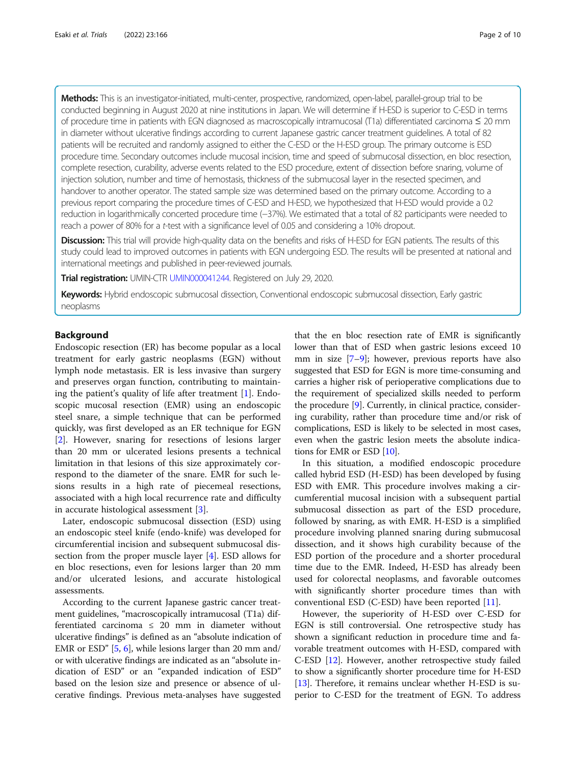Methods: This is an investigator-initiated, multi-center, prospective, randomized, open-label, parallel-group trial to be conducted beginning in August 2020 at nine institutions in Japan. We will determine if H-ESD is superior to C-ESD in terms of procedure time in patients with EGN diagnosed as macroscopically intramucosal (T1a) differentiated carcinoma ≤ 20 mm in diameter without ulcerative findings according to current Japanese gastric cancer treatment guidelines. A total of 82 patients will be recruited and randomly assigned to either the C-ESD or the H-ESD group. The primary outcome is ESD procedure time. Secondary outcomes include mucosal incision, time and speed of submucosal dissection, en bloc resection, complete resection, curability, adverse events related to the ESD procedure, extent of dissection before snaring, volume of injection solution, number and time of hemostasis, thickness of the submucosal layer in the resected specimen, and handover to another operator. The stated sample size was determined based on the primary outcome. According to a previous report comparing the procedure times of C-ESD and H-ESD, we hypothesized that H-ESD would provide a 0.2 reduction in logarithmically concerted procedure time (−37%). We estimated that a total of 82 participants were needed to reach a power of 80% for a t-test with a significance level of 0.05 and considering a 10% dropout.

Discussion: This trial will provide high-quality data on the benefits and risks of H-ESD for EGN patients. The results of this study could lead to improved outcomes in patients with EGN undergoing ESD. The results will be presented at national and international meetings and published in peer-reviewed journals.

Trial registration: UMIN-CTR [UMIN000041244](https://center6.umin.ac.jp/cgi-open-bin/ctr_e/ctr_view.cgi?recptno=R000046811). Registered on July 29, 2020.

Keywords: Hybrid endoscopic submucosal dissection, Conventional endoscopic submucosal dissection, Early gastric neoplasms

# Background

Endoscopic resection (ER) has become popular as a local treatment for early gastric neoplasms (EGN) without lymph node metastasis. ER is less invasive than surgery and preserves organ function, contributing to maintaining the patient's quality of life after treatment [\[1](#page-8-0)]. Endoscopic mucosal resection (EMR) using an endoscopic steel snare, a simple technique that can be performed quickly, was first developed as an ER technique for EGN [[2\]](#page-8-0). However, snaring for resections of lesions larger than 20 mm or ulcerated lesions presents a technical limitation in that lesions of this size approximately correspond to the diameter of the snare. EMR for such lesions results in a high rate of piecemeal resections, associated with a high local recurrence rate and difficulty in accurate histological assessment [\[3\]](#page-8-0).

Later, endoscopic submucosal dissection (ESD) using an endoscopic steel knife (endo-knife) was developed for circumferential incision and subsequent submucosal dissection from the proper muscle layer [\[4\]](#page-8-0). ESD allows for en bloc resections, even for lesions larger than 20 mm and/or ulcerated lesions, and accurate histological assessments.

According to the current Japanese gastric cancer treatment guidelines, "macroscopically intramucosal (T1a) differentiated carcinoma  $\leq$  20 mm in diameter without ulcerative findings" is defined as an "absolute indication of EMR or ESD" [\[5,](#page-8-0) [6\]](#page-8-0), while lesions larger than 20 mm and/ or with ulcerative findings are indicated as an "absolute indication of ESD" or an "expanded indication of ESD" based on the lesion size and presence or absence of ulcerative findings. Previous meta-analyses have suggested

that the en bloc resection rate of EMR is significantly lower than that of ESD when gastric lesions exceed 10 mm in size [\[7](#page-8-0)–[9\]](#page-8-0); however, previous reports have also suggested that ESD for EGN is more time-consuming and carries a higher risk of perioperative complications due to the requirement of specialized skills needed to perform the procedure [[9\]](#page-8-0). Currently, in clinical practice, considering curability, rather than procedure time and/or risk of complications, ESD is likely to be selected in most cases, even when the gastric lesion meets the absolute indications for EMR or ESD [\[10](#page-8-0)].

In this situation, a modified endoscopic procedure called hybrid ESD (H-ESD) has been developed by fusing ESD with EMR. This procedure involves making a circumferential mucosal incision with a subsequent partial submucosal dissection as part of the ESD procedure, followed by snaring, as with EMR. H-ESD is a simplified procedure involving planned snaring during submucosal dissection, and it shows high curability because of the ESD portion of the procedure and a shorter procedural time due to the EMR. Indeed, H-ESD has already been used for colorectal neoplasms, and favorable outcomes with significantly shorter procedure times than with conventional ESD (C-ESD) have been reported [[11\]](#page-8-0).

However, the superiority of H-ESD over C-ESD for EGN is still controversial. One retrospective study has shown a significant reduction in procedure time and favorable treatment outcomes with H-ESD, compared with C-ESD [[12](#page-9-0)]. However, another retrospective study failed to show a significantly shorter procedure time for H-ESD [[13](#page-9-0)]. Therefore, it remains unclear whether H-ESD is superior to C-ESD for the treatment of EGN. To address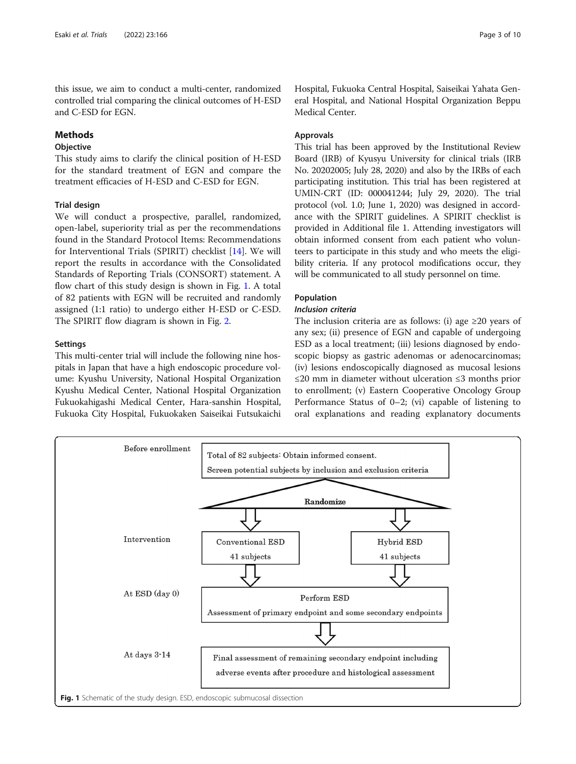this issue, we aim to conduct a multi-center, randomized controlled trial comparing the clinical outcomes of H-ESD and C-ESD for EGN.

# Methods

# Objective

This study aims to clarify the clinical position of H-ESD for the standard treatment of EGN and compare the treatment efficacies of H-ESD and C-ESD for EGN.

# Trial design

We will conduct a prospective, parallel, randomized, open-label, superiority trial as per the recommendations found in the Standard Protocol Items: Recommendations for Interventional Trials (SPIRIT) checklist [\[14\]](#page-9-0). We will report the results in accordance with the Consolidated Standards of Reporting Trials (CONSORT) statement. A flow chart of this study design is shown in Fig. 1. A total of 82 patients with EGN will be recruited and randomly assigned (1:1 ratio) to undergo either H-ESD or C-ESD. The SPIRIT flow diagram is shown in Fig. [2.](#page-3-0)

# **Settings**

This multi-center trial will include the following nine hospitals in Japan that have a high endoscopic procedure volume: Kyushu University, National Hospital Organization Kyushu Medical Center, National Hospital Organization Fukuokahigashi Medical Center, Hara-sanshin Hospital, Fukuoka City Hospital, Fukuokaken Saiseikai Futsukaichi Hospital, Fukuoka Central Hospital, Saiseikai Yahata General Hospital, and National Hospital Organization Beppu Medical Center.

# Approvals

This trial has been approved by the Institutional Review Board (IRB) of Kyusyu University for clinical trials (IRB No. 20202005; July 28, 2020) and also by the IRBs of each participating institution. This trial has been registered at UMIN-CRT (ID: 000041244; July 29, 2020). The trial protocol (vol. 1.0; June 1, 2020) was designed in accordance with the SPIRIT guidelines. A SPIRIT checklist is provided in Additional file 1. Attending investigators will obtain informed consent from each patient who volunteers to participate in this study and who meets the eligibility criteria. If any protocol modifications occur, they will be communicated to all study personnel on time.

# Population

# Inclusion criteria

The inclusion criteria are as follows: (i) age  $\geq 20$  years of any sex; (ii) presence of EGN and capable of undergoing ESD as a local treatment; (iii) lesions diagnosed by endoscopic biopsy as gastric adenomas or adenocarcinomas; (iv) lesions endoscopically diagnosed as mucosal lesions ≤20 mm in diameter without ulceration ≤3 months prior to enrollment; (v) Eastern Cooperative Oncology Group Performance Status of 0–2; (vi) capable of listening to oral explanations and reading explanatory documents

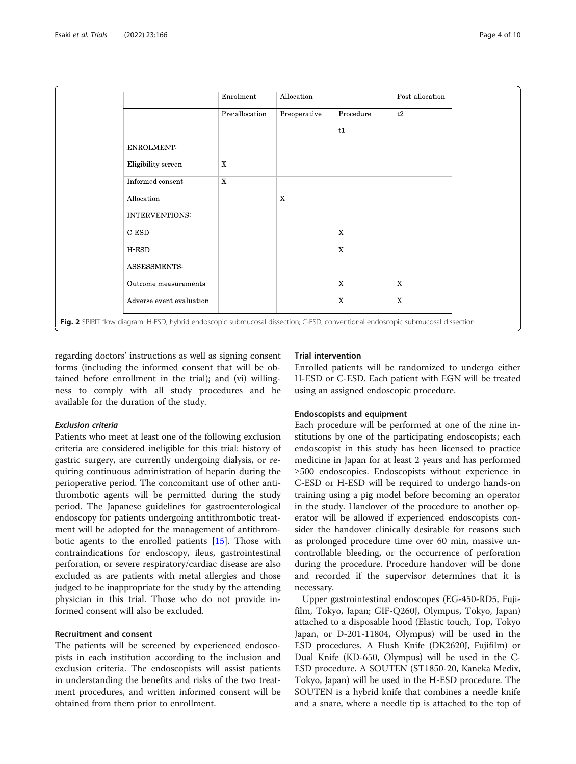<span id="page-3-0"></span>

|                          | Enrolment      | Allocation   |             | Post allocation |
|--------------------------|----------------|--------------|-------------|-----------------|
|                          | Pre allocation | Preoperative | Procedure   | t2              |
|                          |                |              | t1          |                 |
| ENROLMENT:               |                |              |             |                 |
| Eligibility screen       | $\mathbf X$    |              |             |                 |
| Informed consent         | X              |              |             |                 |
| Allocation               |                | $\mathbf X$  |             |                 |
| <b>INTERVENTIONS:</b>    |                |              |             |                 |
| $\mathbf C$ ESD          |                |              | $\mathbf X$ |                 |
| H-ESD                    |                |              | $\mathbf X$ |                 |
| ASSESSMENTS:             |                |              |             |                 |
| Outcome measurements     |                |              | X           | $\mathbf X$     |
| Adverse event evaluation |                |              | $\mathbf X$ | X               |

regarding doctors' instructions as well as signing consent forms (including the informed consent that will be obtained before enrollment in the trial); and (vi) willingness to comply with all study procedures and be available for the duration of the study.

#### Exclusion criteria

Patients who meet at least one of the following exclusion criteria are considered ineligible for this trial: history of gastric surgery, are currently undergoing dialysis, or requiring continuous administration of heparin during the perioperative period. The concomitant use of other antithrombotic agents will be permitted during the study period. The Japanese guidelines for gastroenterological endoscopy for patients undergoing antithrombotic treatment will be adopted for the management of antithrombotic agents to the enrolled patients [\[15](#page-9-0)]. Those with contraindications for endoscopy, ileus, gastrointestinal perforation, or severe respiratory/cardiac disease are also excluded as are patients with metal allergies and those judged to be inappropriate for the study by the attending physician in this trial. Those who do not provide informed consent will also be excluded.

#### Recruitment and consent

The patients will be screened by experienced endoscopists in each institution according to the inclusion and exclusion criteria. The endoscopists will assist patients in understanding the benefits and risks of the two treatment procedures, and written informed consent will be obtained from them prior to enrollment.

## Trial intervention

Enrolled patients will be randomized to undergo either H-ESD or C-ESD. Each patient with EGN will be treated using an assigned endoscopic procedure.

#### Endoscopists and equipment

Each procedure will be performed at one of the nine institutions by one of the participating endoscopists; each endoscopist in this study has been licensed to practice medicine in Japan for at least 2 years and has performed ≥500 endoscopies. Endoscopists without experience in C-ESD or H-ESD will be required to undergo hands-on training using a pig model before becoming an operator in the study. Handover of the procedure to another operator will be allowed if experienced endoscopists consider the handover clinically desirable for reasons such as prolonged procedure time over 60 min, massive uncontrollable bleeding, or the occurrence of perforation during the procedure. Procedure handover will be done and recorded if the supervisor determines that it is necessary.

Upper gastrointestinal endoscopes (EG-450-RD5, Fujifilm, Tokyo, Japan; GIF-Q260J, Olympus, Tokyo, Japan) attached to a disposable hood (Elastic touch, Top, Tokyo Japan, or D-201-11804, Olympus) will be used in the ESD procedures. A Flush Knife (DK2620J, Fujifilm) or Dual Knife (KD-650, Olympus) will be used in the C-ESD procedure. A SOUTEN (ST1850-20, Kaneka Medix, Tokyo, Japan) will be used in the H-ESD procedure. The SOUTEN is a hybrid knife that combines a needle knife and a snare, where a needle tip is attached to the top of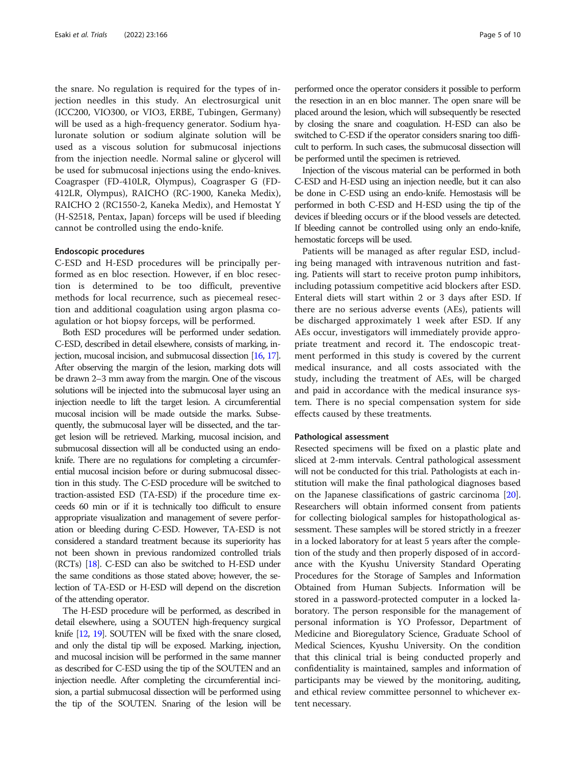the snare. No regulation is required for the types of injection needles in this study. An electrosurgical unit (ICC200, VIO300, or VIO3, ERBE, Tubingen, Germany) will be used as a high-frequency generator. Sodium hyaluronate solution or sodium alginate solution will be used as a viscous solution for submucosal injections from the injection needle. Normal saline or glycerol will be used for submucosal injections using the endo-knives. Coagrasper (FD-410LR, Olympus), Coagrasper G (FD-412LR, Olympus), RAICHO (RC-1900, Kaneka Medix), RAICHO 2 (RC1550-2, Kaneka Medix), and Hemostat Y (H-S2518, Pentax, Japan) forceps will be used if bleeding cannot be controlled using the endo-knife.

#### Endoscopic procedures

C-ESD and H-ESD procedures will be principally performed as en bloc resection. However, if en bloc resection is determined to be too difficult, preventive methods for local recurrence, such as piecemeal resection and additional coagulation using argon plasma coagulation or hot biopsy forceps, will be performed.

Both ESD procedures will be performed under sedation. C-ESD, described in detail elsewhere, consists of marking, injection, mucosal incision, and submucosal dissection [[16,](#page-9-0) [17\]](#page-9-0). After observing the margin of the lesion, marking dots will be drawn 2–3 mm away from the margin. One of the viscous solutions will be injected into the submucosal layer using an injection needle to lift the target lesion. A circumferential mucosal incision will be made outside the marks. Subsequently, the submucosal layer will be dissected, and the target lesion will be retrieved. Marking, mucosal incision, and submucosal dissection will all be conducted using an endoknife. There are no regulations for completing a circumferential mucosal incision before or during submucosal dissection in this study. The C-ESD procedure will be switched to traction-assisted ESD (TA-ESD) if the procedure time exceeds 60 min or if it is technically too difficult to ensure appropriate visualization and management of severe perforation or bleeding during C-ESD. However, TA-ESD is not considered a standard treatment because its superiority has not been shown in previous randomized controlled trials (RCTs) [\[18](#page-9-0)]. C-ESD can also be switched to H-ESD under the same conditions as those stated above; however, the selection of TA-ESD or H-ESD will depend on the discretion of the attending operator.

The H-ESD procedure will be performed, as described in detail elsewhere, using a SOUTEN high-frequency surgical knife [[12,](#page-9-0) [19](#page-9-0)]. SOUTEN will be fixed with the snare closed, and only the distal tip will be exposed. Marking, injection, and mucosal incision will be performed in the same manner as described for C-ESD using the tip of the SOUTEN and an injection needle. After completing the circumferential incision, a partial submucosal dissection will be performed using the tip of the SOUTEN. Snaring of the lesion will be performed once the operator considers it possible to perform the resection in an en bloc manner. The open snare will be placed around the lesion, which will subsequently be resected by closing the snare and coagulation. H-ESD can also be switched to C-ESD if the operator considers snaring too difficult to perform. In such cases, the submucosal dissection will be performed until the specimen is retrieved.

Injection of the viscous material can be performed in both C-ESD and H-ESD using an injection needle, but it can also be done in C-ESD using an endo-knife. Hemostasis will be performed in both C-ESD and H-ESD using the tip of the devices if bleeding occurs or if the blood vessels are detected. If bleeding cannot be controlled using only an endo-knife, hemostatic forceps will be used.

Patients will be managed as after regular ESD, including being managed with intravenous nutrition and fasting. Patients will start to receive proton pump inhibitors, including potassium competitive acid blockers after ESD. Enteral diets will start within 2 or 3 days after ESD. If there are no serious adverse events (AEs), patients will be discharged approximately 1 week after ESD. If any AEs occur, investigators will immediately provide appropriate treatment and record it. The endoscopic treatment performed in this study is covered by the current medical insurance, and all costs associated with the study, including the treatment of AEs, will be charged and paid in accordance with the medical insurance system. There is no special compensation system for side effects caused by these treatments.

#### Pathological assessment

Resected specimens will be fixed on a plastic plate and sliced at 2-mm intervals. Central pathological assessment will not be conducted for this trial. Pathologists at each institution will make the final pathological diagnoses based on the Japanese classifications of gastric carcinoma [[20](#page-9-0)]. Researchers will obtain informed consent from patients for collecting biological samples for histopathological assessment. These samples will be stored strictly in a freezer in a locked laboratory for at least 5 years after the completion of the study and then properly disposed of in accordance with the Kyushu University Standard Operating Procedures for the Storage of Samples and Information Obtained from Human Subjects. Information will be stored in a password-protected computer in a locked laboratory. The person responsible for the management of personal information is YO Professor, Department of Medicine and Bioregulatory Science, Graduate School of Medical Sciences, Kyushu University. On the condition that this clinical trial is being conducted properly and confidentiality is maintained, samples and information of participants may be viewed by the monitoring, auditing, and ethical review committee personnel to whichever extent necessary.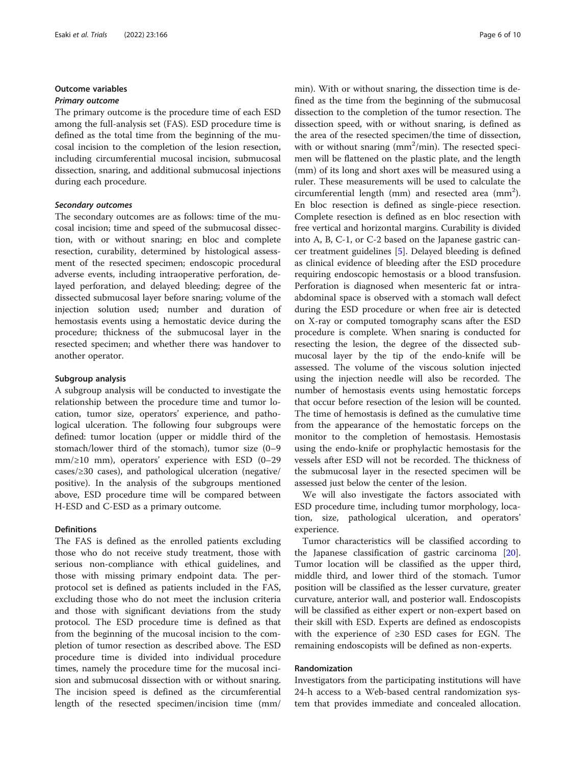# Outcome variables

#### Primary outcome

The primary outcome is the procedure time of each ESD among the full-analysis set (FAS). ESD procedure time is defined as the total time from the beginning of the mucosal incision to the completion of the lesion resection, including circumferential mucosal incision, submucosal dissection, snaring, and additional submucosal injections during each procedure.

# Secondary outcomes

The secondary outcomes are as follows: time of the mucosal incision; time and speed of the submucosal dissection, with or without snaring; en bloc and complete resection, curability, determined by histological assessment of the resected specimen; endoscopic procedural adverse events, including intraoperative perforation, delayed perforation, and delayed bleeding; degree of the dissected submucosal layer before snaring; volume of the injection solution used; number and duration of hemostasis events using a hemostatic device during the procedure; thickness of the submucosal layer in the resected specimen; and whether there was handover to another operator.

#### Subgroup analysis

A subgroup analysis will be conducted to investigate the relationship between the procedure time and tumor location, tumor size, operators' experience, and pathological ulceration. The following four subgroups were defined: tumor location (upper or middle third of the stomach/lower third of the stomach), tumor size (0–9 mm/≥10 mm), operators' experience with ESD (0–29 cases/≥30 cases), and pathological ulceration (negative/ positive). In the analysis of the subgroups mentioned above, ESD procedure time will be compared between H-ESD and C-ESD as a primary outcome.

#### **Definitions**

The FAS is defined as the enrolled patients excluding those who do not receive study treatment, those with serious non-compliance with ethical guidelines, and those with missing primary endpoint data. The perprotocol set is defined as patients included in the FAS, excluding those who do not meet the inclusion criteria and those with significant deviations from the study protocol. The ESD procedure time is defined as that from the beginning of the mucosal incision to the completion of tumor resection as described above. The ESD procedure time is divided into individual procedure times, namely the procedure time for the mucosal incision and submucosal dissection with or without snaring. The incision speed is defined as the circumferential length of the resected specimen/incision time (mm/ min). With or without snaring, the dissection time is defined as the time from the beginning of the submucosal dissection to the completion of the tumor resection. The dissection speed, with or without snaring, is defined as the area of the resected specimen/the time of dissection, with or without snaring  $(mm^2/min)$ . The resected specimen will be flattened on the plastic plate, and the length (mm) of its long and short axes will be measured using a ruler. These measurements will be used to calculate the circumferential length (mm) and resected area  $\text{(mm)}$ . En bloc resection is defined as single-piece resection. Complete resection is defined as en bloc resection with free vertical and horizontal margins. Curability is divided into A, B, C-1, or C-2 based on the Japanese gastric cancer treatment guidelines [\[5](#page-8-0)]. Delayed bleeding is defined as clinical evidence of bleeding after the ESD procedure requiring endoscopic hemostasis or a blood transfusion. Perforation is diagnosed when mesenteric fat or intraabdominal space is observed with a stomach wall defect during the ESD procedure or when free air is detected on X-ray or computed tomography scans after the ESD procedure is complete. When snaring is conducted for resecting the lesion, the degree of the dissected submucosal layer by the tip of the endo-knife will be assessed. The volume of the viscous solution injected using the injection needle will also be recorded. The number of hemostasis events using hemostatic forceps that occur before resection of the lesion will be counted. The time of hemostasis is defined as the cumulative time from the appearance of the hemostatic forceps on the monitor to the completion of hemostasis. Hemostasis using the endo-knife or prophylactic hemostasis for the vessels after ESD will not be recorded. The thickness of the submucosal layer in the resected specimen will be assessed just below the center of the lesion.

We will also investigate the factors associated with ESD procedure time, including tumor morphology, location, size, pathological ulceration, and operators' experience.

Tumor characteristics will be classified according to the Japanese classification of gastric carcinoma [\[20](#page-9-0)]. Tumor location will be classified as the upper third, middle third, and lower third of the stomach. Tumor position will be classified as the lesser curvature, greater curvature, anterior wall, and posterior wall. Endoscopists will be classified as either expert or non-expert based on their skill with ESD. Experts are defined as endoscopists with the experience of ≥30 ESD cases for EGN. The remaining endoscopists will be defined as non-experts.

### Randomization

Investigators from the participating institutions will have 24-h access to a Web-based central randomization system that provides immediate and concealed allocation.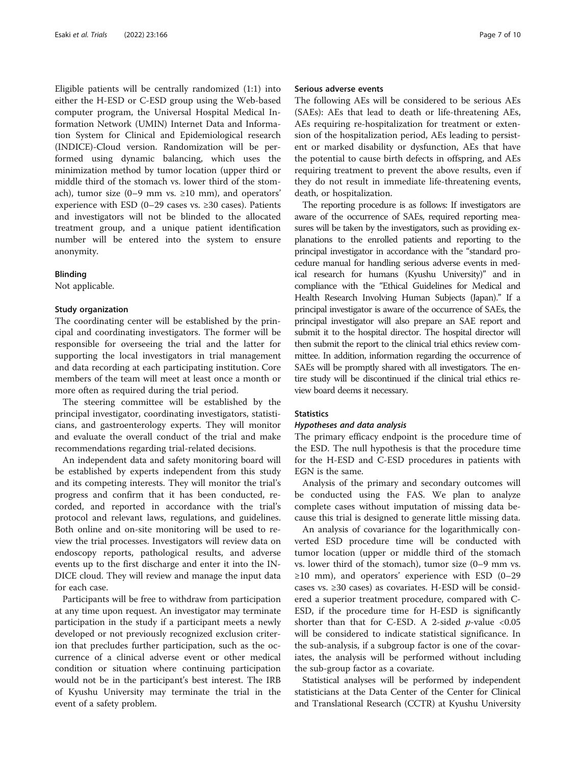Eligible patients will be centrally randomized (1:1) into either the H-ESD or C-ESD group using the Web-based computer program, the Universal Hospital Medical Information Network (UMIN) Internet Data and Information System for Clinical and Epidemiological research (INDICE)-Cloud version. Randomization will be performed using dynamic balancing, which uses the minimization method by tumor location (upper third or middle third of the stomach vs. lower third of the stomach), tumor size (0–9 mm vs.  $\geq 10$  mm), and operators' experience with ESD (0–29 cases vs.  $\geq$ 30 cases). Patients and investigators will not be blinded to the allocated treatment group, and a unique patient identification number will be entered into the system to ensure anonymity.

#### Blinding

Not applicable.

# Study organization

The coordinating center will be established by the principal and coordinating investigators. The former will be responsible for overseeing the trial and the latter for supporting the local investigators in trial management and data recording at each participating institution. Core members of the team will meet at least once a month or more often as required during the trial period.

The steering committee will be established by the principal investigator, coordinating investigators, statisticians, and gastroenterology experts. They will monitor and evaluate the overall conduct of the trial and make recommendations regarding trial-related decisions.

An independent data and safety monitoring board will be established by experts independent from this study and its competing interests. They will monitor the trial's progress and confirm that it has been conducted, recorded, and reported in accordance with the trial's protocol and relevant laws, regulations, and guidelines. Both online and on-site monitoring will be used to review the trial processes. Investigators will review data on endoscopy reports, pathological results, and adverse events up to the first discharge and enter it into the IN-DICE cloud. They will review and manage the input data for each case.

Participants will be free to withdraw from participation at any time upon request. An investigator may terminate participation in the study if a participant meets a newly developed or not previously recognized exclusion criterion that precludes further participation, such as the occurrence of a clinical adverse event or other medical condition or situation where continuing participation would not be in the participant's best interest. The IRB of Kyushu University may terminate the trial in the event of a safety problem.

# Serious adverse events

The following AEs will be considered to be serious AEs (SAEs): AEs that lead to death or life-threatening AEs, AEs requiring re-hospitalization for treatment or extension of the hospitalization period, AEs leading to persistent or marked disability or dysfunction, AEs that have the potential to cause birth defects in offspring, and AEs requiring treatment to prevent the above results, even if they do not result in immediate life-threatening events, death, or hospitalization.

The reporting procedure is as follows: If investigators are aware of the occurrence of SAEs, required reporting measures will be taken by the investigators, such as providing explanations to the enrolled patients and reporting to the principal investigator in accordance with the "standard procedure manual for handling serious adverse events in medical research for humans (Kyushu University)" and in compliance with the "Ethical Guidelines for Medical and Health Research Involving Human Subjects (Japan)." If a principal investigator is aware of the occurrence of SAEs, the principal investigator will also prepare an SAE report and submit it to the hospital director. The hospital director will then submit the report to the clinical trial ethics review committee. In addition, information regarding the occurrence of SAEs will be promptly shared with all investigators. The entire study will be discontinued if the clinical trial ethics review board deems it necessary.

#### **Statistics**

#### Hypotheses and data analysis

The primary efficacy endpoint is the procedure time of the ESD. The null hypothesis is that the procedure time for the H-ESD and C-ESD procedures in patients with EGN is the same.

Analysis of the primary and secondary outcomes will be conducted using the FAS. We plan to analyze complete cases without imputation of missing data because this trial is designed to generate little missing data.

An analysis of covariance for the logarithmically converted ESD procedure time will be conducted with tumor location (upper or middle third of the stomach vs. lower third of the stomach), tumor size (0–9 mm vs.  $\geq$ 10 mm), and operators' experience with ESD (0–29 cases vs. ≥30 cases) as covariates. H-ESD will be considered a superior treatment procedure, compared with C-ESD, if the procedure time for H-ESD is significantly shorter than that for C-ESD. A 2-sided  $p$ -value <0.05 will be considered to indicate statistical significance. In the sub-analysis, if a subgroup factor is one of the covariates, the analysis will be performed without including the sub-group factor as a covariate.

Statistical analyses will be performed by independent statisticians at the Data Center of the Center for Clinical and Translational Research (CCTR) at Kyushu University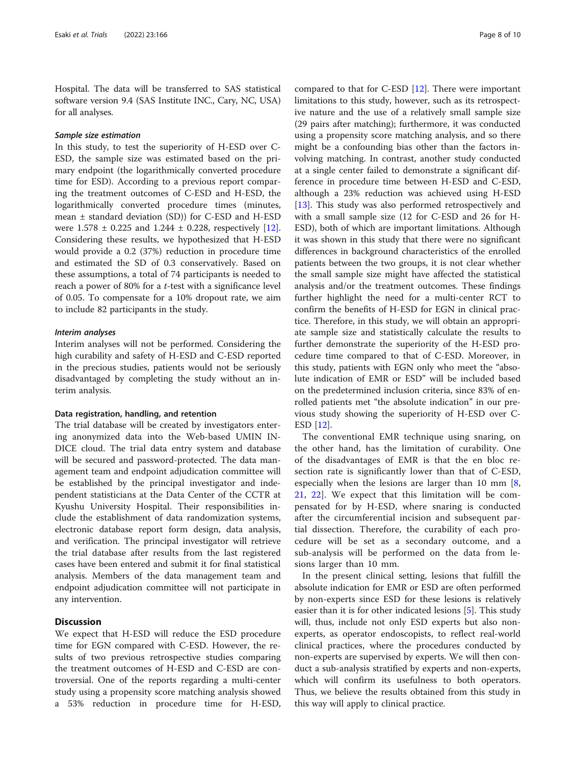Hospital. The data will be transferred to SAS statistical software version 9.4 (SAS Institute INC., Cary, NC, USA) for all analyses.

# Sample size estimation

In this study, to test the superiority of H-ESD over C-ESD, the sample size was estimated based on the primary endpoint (the logarithmically converted procedure time for ESD). According to a previous report comparing the treatment outcomes of C-ESD and H-ESD, the logarithmically converted procedure times (minutes, mean ± standard deviation (SD)) for C-ESD and H-ESD were  $1.578 \pm 0.225$  and  $1.244 \pm 0.228$ , respectively [\[12](#page-9-0)]. Considering these results, we hypothesized that H-ESD would provide a 0.2 (37%) reduction in procedure time and estimated the SD of 0.3 conservatively. Based on these assumptions, a total of 74 participants is needed to reach a power of 80% for a t-test with a significance level of 0.05. To compensate for a 10% dropout rate, we aim to include 82 participants in the study.

#### Interim analyses

Interim analyses will not be performed. Considering the high curability and safety of H-ESD and C-ESD reported in the precious studies, patients would not be seriously disadvantaged by completing the study without an interim analysis.

#### Data registration, handling, and retention

The trial database will be created by investigators entering anonymized data into the Web-based UMIN IN-DICE cloud. The trial data entry system and database will be secured and password-protected. The data management team and endpoint adjudication committee will be established by the principal investigator and independent statisticians at the Data Center of the CCTR at Kyushu University Hospital. Their responsibilities include the establishment of data randomization systems, electronic database report form design, data analysis, and verification. The principal investigator will retrieve the trial database after results from the last registered cases have been entered and submit it for final statistical analysis. Members of the data management team and endpoint adjudication committee will not participate in any intervention.

# **Discussion**

We expect that H-ESD will reduce the ESD procedure time for EGN compared with C-ESD. However, the results of two previous retrospective studies comparing the treatment outcomes of H-ESD and C-ESD are controversial. One of the reports regarding a multi-center study using a propensity score matching analysis showed a 53% reduction in procedure time for H-ESD, compared to that for C-ESD [[12\]](#page-9-0). There were important limitations to this study, however, such as its retrospective nature and the use of a relatively small sample size (29 pairs after matching); furthermore, it was conducted using a propensity score matching analysis, and so there might be a confounding bias other than the factors involving matching. In contrast, another study conducted at a single center failed to demonstrate a significant difference in procedure time between H-ESD and C-ESD, although a 23% reduction was achieved using H-ESD [[13\]](#page-9-0). This study was also performed retrospectively and with a small sample size (12 for C-ESD and 26 for H-ESD), both of which are important limitations. Although it was shown in this study that there were no significant differences in background characteristics of the enrolled patients between the two groups, it is not clear whether the small sample size might have affected the statistical analysis and/or the treatment outcomes. These findings further highlight the need for a multi-center RCT to confirm the benefits of H-ESD for EGN in clinical practice. Therefore, in this study, we will obtain an appropriate sample size and statistically calculate the results to further demonstrate the superiority of the H-ESD procedure time compared to that of C-ESD. Moreover, in this study, patients with EGN only who meet the "absolute indication of EMR or ESD" will be included based on the predetermined inclusion criteria, since 83% of enrolled patients met "the absolute indication" in our previous study showing the superiority of H-ESD over C-ESD [[12](#page-9-0)].

The conventional EMR technique using snaring, on the other hand, has the limitation of curability. One of the disadvantages of EMR is that the en bloc resection rate is significantly lower than that of C-ESD, especially when the lesions are larger than 10 mm  $[8, 8]$  $[8, 8]$ [21,](#page-9-0) [22](#page-9-0)]. We expect that this limitation will be compensated for by H-ESD, where snaring is conducted after the circumferential incision and subsequent partial dissection. Therefore, the curability of each procedure will be set as a secondary outcome, and a sub-analysis will be performed on the data from lesions larger than 10 mm.

In the present clinical setting, lesions that fulfill the absolute indication for EMR or ESD are often performed by non-experts since ESD for these lesions is relatively easier than it is for other indicated lesions [[5\]](#page-8-0). This study will, thus, include not only ESD experts but also nonexperts, as operator endoscopists, to reflect real-world clinical practices, where the procedures conducted by non-experts are supervised by experts. We will then conduct a sub-analysis stratified by experts and non-experts, which will confirm its usefulness to both operators. Thus, we believe the results obtained from this study in this way will apply to clinical practice.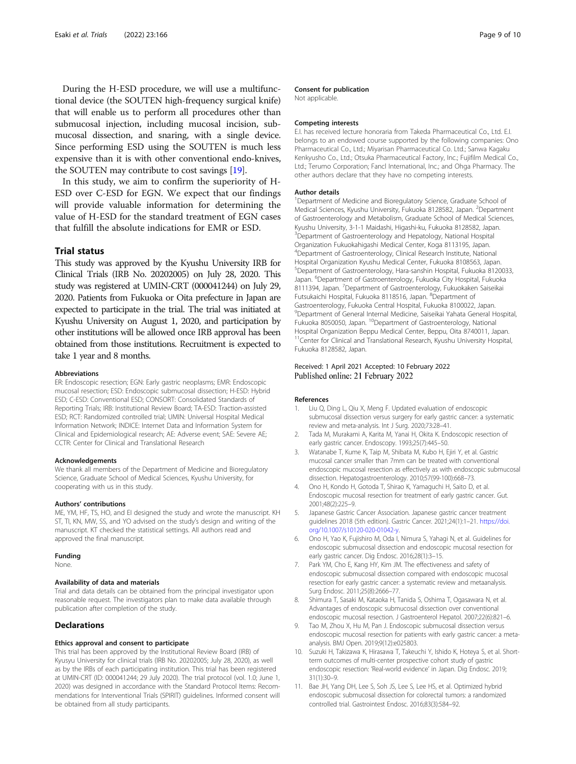<span id="page-8-0"></span>During the H-ESD procedure, we will use a multifunctional device (the SOUTEN high-frequency surgical knife) that will enable us to perform all procedures other than submucosal injection, including mucosal incision, submucosal dissection, and snaring, with a single device. Since performing ESD using the SOUTEN is much less expensive than it is with other conventional endo-knives, the SOUTEN may contribute to cost savings [[19](#page-9-0)].

In this study, we aim to confirm the superiority of H-ESD over C-ESD for EGN. We expect that our findings will provide valuable information for determining the value of H-ESD for the standard treatment of EGN cases that fulfill the absolute indications for EMR or ESD.

# Trial status

This study was approved by the Kyushu University IRB for Clinical Trials (IRB No. 20202005) on July 28, 2020. This study was registered at UMIN-CRT (000041244) on July 29, 2020. Patients from Fukuoka or Oita prefecture in Japan are expected to participate in the trial. The trial was initiated at Kyushu University on August 1, 2020, and participation by other institutions will be allowed once IRB approval has been obtained from those institutions. Recruitment is expected to take 1 year and 8 months.

#### Abbreviations

ER: Endoscopic resection; EGN: Early gastric neoplasms; EMR: Endoscopic mucosal resection; ESD: Endoscopic submucosal dissection; H-ESD: Hybrid ESD; C-ESD: Conventional ESD; CONSORT: Consolidated Standards of Reporting Trials; IRB: Institutional Review Board; TA-ESD: Traction-assisted ESD; RCT: Randomized controlled trial; UMIN: Universal Hospital Medical Information Network; INDICE: Internet Data and Information System for Clinical and Epidemiological research; AE: Adverse event; SAE: Severe AE; CCTR: Center for Clinical and Translational Research

#### Acknowledgements

We thank all members of the Department of Medicine and Bioregulatory Science, Graduate School of Medical Sciences, Kyushu University, for cooperating with us in this study.

#### Authors' contributions

ME, YM, HF, TS, HO, and EI designed the study and wrote the manuscript. KH ST, TI, KN, MW, SS, and YO advised on the study's design and writing of the manuscript. KT checked the statistical settings. All authors read and approved the final manuscript.

#### Funding

None.

#### Availability of data and materials

Trial and data details can be obtained from the principal investigator upon reasonable request. The investigators plan to make data available through publication after completion of the study.

# Declarations

#### Ethics approval and consent to participate

This trial has been approved by the Institutional Review Board (IRB) of Kyusyu University for clinical trials (IRB No. 20202005; July 28, 2020), as well as by the IRBs of each participating institution. This trial has been registered at UMIN-CRT (ID: 000041244; 29 July 2020). The trial protocol (vol. 1.0; June 1, 2020) was designed in accordance with the Standard Protocol Items: Recommendations for Interventional Trials (SPIRIT) guidelines. Informed consent will be obtained from all study participants.

#### Consent for publication

Not applicable.

#### Competing interests

E.I. has received lecture honoraria from Takeda Pharmaceutical Co., Ltd. E.I. belongs to an endowed course supported by the following companies: Ono Pharmaceutical Co., Ltd.; Miyarisan Pharmaceutical Co. Ltd.; Sanwa Kagaku Kenkyusho Co., Ltd.; Otsuka Pharmaceutical Factory, Inc.; Fujifilm Medical Co., Ltd.; Terumo Corporation; Fancl International, Inc.; and Ohga Pharmacy. The other authors declare that they have no competing interests.

#### Author details

<sup>1</sup>Department of Medicine and Bioregulatory Science, Graduate School of Medical Sciences, Kyushu University, Fukuoka 8128582, Japan. <sup>2</sup>Department of Gastroenterology and Metabolism, Graduate School of Medical Sciences, Kyushu University, 3-1-1 Maidashi, Higashi-ku, Fukuoka 8128582, Japan. <sup>3</sup> Department of Gastroenterology and Hepatology, National Hospital Organization Fukuokahigashi Medical Center, Koga 8113195, Japan. 4 Department of Gastroenterology, Clinical Research Institute, National Hospital Organization Kyushu Medical Center, Fukuoka 8108563, Japan. 5 Department of Gastroenterology, Hara-sanshin Hospital, Fukuoka 8120033, Japan. <sup>6</sup>Department of Gastroenterology, Fukuoka City Hospital, Fukuoka 8111394, Japan. <sup>7</sup>Department of Gastroenterology, Fukuokaken Saiseikai Futsukaichi Hospital, Fukuoka 8118516, Japan. <sup>8</sup>Department of Gastroenterology, Fukuoka Central Hospital, Fukuoka 8100022, Japan. 9 Department of General Internal Medicine, Saiseikai Yahata General Hospital, Fukuoka 8050050, Japan. <sup>10</sup>Department of Gastroenterology, National Hospital Organization Beppu Medical Center, Beppu, Oita 8740011, Japan. <sup>11</sup>Center for Clinical and Translational Research, Kyushu University Hospital, Fukuoka 8128582, Japan.

#### Received: 1 April 2021 Accepted: 10 February 2022 Published online: 21 February 2022

#### References

- 1. Liu Q, Ding L, Qiu X, Meng F. Updated evaluation of endoscopic submucosal dissection versus surgery for early gastric cancer: a systematic review and meta-analysis. Int J Surg. 2020;73:28–41.
- 2. Tada M, Murakami A, Karita M, Yanai H, Okita K. Endoscopic resection of early gastric cancer. Endoscopy. 1993;25(7):445–50.
- 3. Watanabe T, Kume K, Taip M, Shibata M, Kubo H, Ejiri Y, et al. Gastric mucosal cancer smaller than 7mm can be treated with conventional endoscopic mucosal resection as effectively as with endoscopic submucosal dissection. Hepatogastroenterology. 2010;57(99-100):668–73.
- 4. Ono H, Kondo H, Gotoda T, Shirao K, Yamaguchi H, Saito D, et al. Endoscopic mucosal resection for treatment of early gastric cancer. Gut. 2001;48(2):225–9.
- 5. Japanese Gastric Cancer Association. Japanese gastric cancer treatment guidelines 2018 (5th edition). Gastric Cancer. 2021;24(1):1–21. [https://doi.](https://doi.org/10.1007/s10120-020-01042-y) [org/10.1007/s10120-020-01042-y](https://doi.org/10.1007/s10120-020-01042-y).
- 6. Ono H, Yao K, Fujishiro M, Oda I, Nimura S, Yahagi N, et al. Guidelines for endoscopic submucosal dissection and endoscopic mucosal resection for early gastric cancer. Dig Endosc. 2016;28(1):3–15.
- 7. Park YM, Cho E, Kang HY, Kim JM. The effectiveness and safety of endoscopic submucosal dissection compared with endoscopic mucosal resection for early gastric cancer: a systematic review and metaanalysis. Surg Endosc. 2011;25(8):2666–77.
- 8. Shimura T, Sasaki M, Kataoka H, Tanida S, Oshima T, Ogasawara N, et al. Advantages of endoscopic submucosal dissection over conventional endoscopic mucosal resection. J Gastroenterol Hepatol. 2007;22(6):821–6.
- Tao M, Zhou X, Hu M, Pan J. Endoscopic submucosal dissection versus endoscopic mucosal resection for patients with early gastric cancer: a metaanalysis. BMJ Open. 2019;9(12):e025803.
- 10. Suzuki H, Takizawa K, Hirasawa T, Takeuchi Y, Ishido K, Hoteya S, et al. Shortterm outcomes of multi-center prospective cohort study of gastric endoscopic resection: 'Real-world evidence' in Japan. Dig Endosc. 2019; 31(1):30–9.
- 11. Bae JH, Yang DH, Lee S, Soh JS, Lee S, Lee HS, et al. Optimized hybrid endoscopic submucosal dissection for colorectal tumors: a randomized controlled trial. Gastrointest Endosc. 2016;83(3):584–92.